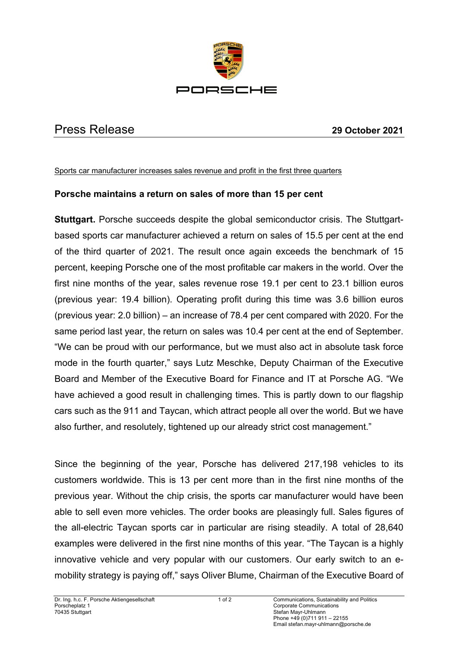

## Press Release **29 October 2021**

Sports car manufacturer increases sales revenue and profit in the first three quarters

## **Porsche maintains a return on sales of more than 15 per cent**

**Stuttgart.** Porsche succeeds despite the global semiconductor crisis. The Stuttgartbased sports car manufacturer achieved a return on sales of 15.5 per cent at the end of the third quarter of 2021. The result once again exceeds the benchmark of 15 percent, keeping Porsche one of the most profitable car makers in the world. Over the first nine months of the year, sales revenue rose 19.1 per cent to 23.1 billion euros (previous year: 19.4 billion). Operating profit during this time was 3.6 billion euros (previous year: 2.0 billion) – an increase of 78.4 per cent compared with 2020. For the same period last year, the return on sales was 10.4 per cent at the end of September. "We can be proud with our performance, but we must also act in absolute task force mode in the fourth quarter," says Lutz Meschke, Deputy Chairman of the Executive Board and Member of the Executive Board for Finance and IT at Porsche AG. "We have achieved a good result in challenging times. This is partly down to our flagship cars such as the 911 and Taycan, which attract people all over the world. But we have also further, and resolutely, tightened up our already strict cost management."

Since the beginning of the year, Porsche has delivered 217,198 vehicles to its customers worldwide. This is 13 per cent more than in the first nine months of the previous year. Without the chip crisis, the sports car manufacturer would have been able to sell even more vehicles. The order books are pleasingly full. Sales figures of the all-electric Taycan sports car in particular are rising steadily. A total of 28,640 examples were delivered in the first nine months of this year. "The Taycan is a highly innovative vehicle and very popular with our customers. Our early switch to an emobility strategy is paying off," says Oliver Blume, Chairman of the Executive Board of